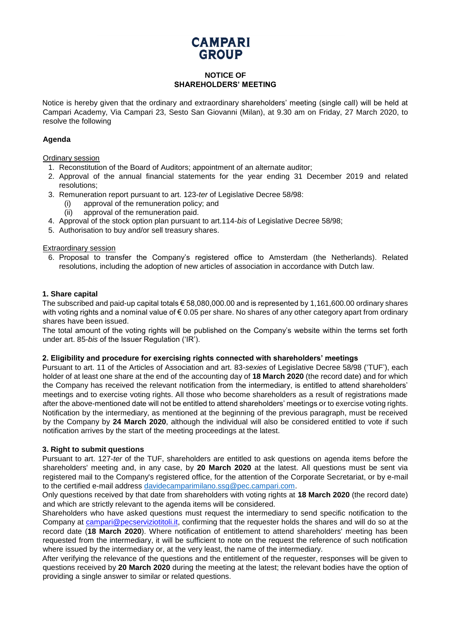# **CAMPARI GROUP**

## **NOTICE OF SHAREHOLDERS' MEETING**

Notice is hereby given that the ordinary and extraordinary shareholders' meeting (single call) will be held at Campari Academy, Via Campari 23, Sesto San Giovanni (Milan), at 9.30 am on Friday, 27 March 2020, to resolve the following

## **Agenda**

Ordinary session

- 1. Reconstitution of the Board of Auditors; appointment of an alternate auditor;
- 2. Approval of the annual financial statements for the year ending 31 December 2019 and related resolutions;
- 3. Remuneration report pursuant to art. 123-*ter* of Legislative Decree 58/98:
	- (i) approval of the remuneration policy; and
	- (ii) approval of the remuneration paid.
- 4. Approval of the stock option plan pursuant to art.114-*bis* of Legislative Decree 58/98;
- 5. Authorisation to buy and/or sell treasury shares.

## Extraordinary session

6. Proposal to transfer the Company's registered office to Amsterdam (the Netherlands). Related resolutions, including the adoption of new articles of association in accordance with Dutch law.

## **1. Share capital**

The subscribed and paid-up capital totals  $\epsilon$  58,080,000.00 and is represented by 1,161,600.00 ordinary shares with voting rights and a nominal value of € 0.05 per share. No shares of any other category apart from ordinary shares have been issued.

The total amount of the voting rights will be published on the Company's website within the terms set forth under art. 85-*bis* of the Issuer Regulation ('IR').

## **2. Eligibility and procedure for exercising rights connected with shareholders' meetings**

Pursuant to art. 11 of the Articles of Association and art. 83-*sexies* of Legislative Decree 58/98 ('TUF'), each holder of at least one share at the end of the accounting day of **18 March 2020** (the record date) and for which the Company has received the relevant notification from the intermediary, is entitled to attend shareholders' meetings and to exercise voting rights. All those who become shareholders as a result of registrations made after the above-mentioned date will not be entitled to attend shareholders' meetings or to exercise voting rights. Notification by the intermediary, as mentioned at the beginning of the previous paragraph, must be received by the Company by **24 March 2020**, although the individual will also be considered entitled to vote if such notification arrives by the start of the meeting proceedings at the latest.

## **3. Right to submit questions**

Pursuant to art. 127-*ter* of the TUF, shareholders are entitled to ask questions on agenda items before the shareholders' meeting and, in any case, by **20 March 2020** at the latest. All questions must be sent via registered mail to the Company's registered office, for the attention of the Corporate Secretariat, or by e-mail to the certified e-mail address [davidecamparimilano.ssg@pec.campari.com.](mailto:davidecamparimilano.ssg@pec.campari.com)

Only questions received by that date from shareholders with voting rights at **18 March 2020** (the record date) and which are strictly relevant to the agenda items will be considered.

Shareholders who have asked questions must request the intermediary to send specific notification to the Company at campari@pecserviziotitoli.it, confirming that the requester holds the shares and will do so at the record date (**18 March 2020**). Where notification of entitlement to attend shareholders' meeting has been requested from the intermediary, it will be sufficient to note on the request the reference of such notification where issued by the intermediary or, at the very least, the name of the intermediary.

After verifying the relevance of the questions and the entitlement of the requester, responses will be given to questions received by **20 March 2020** during the meeting at the latest; the relevant bodies have the option of providing a single answer to similar or related questions.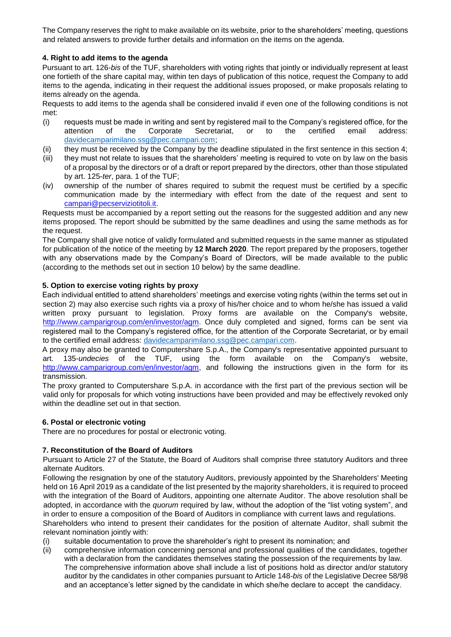The Company reserves the right to make available on its website, prior to the shareholders' meeting, questions and related answers to provide further details and information on the items on the agenda.

## **4. Right to add items to the agenda**

Pursuant to art. 126-*bis* of the TUF, shareholders with voting rights that jointly or individually represent at least one fortieth of the share capital may, within ten days of publication of this notice, request the Company to add items to the agenda, indicating in their request the additional issues proposed, or make proposals relating to items already on the agenda.

Requests to add items to the agenda shall be considered invalid if even one of the following conditions is not met:

- (i) requests must be made in writing and sent by registered mail to the Company's registered office, for the attention of the Corporate Secretariat, or to the certified email address: [davidecamparimilano.ssg@pec.campari.com;](mailto:davidecamparimilano.ssg@pec.campari.com)
- (ii) they must be received by the Company by the deadline stipulated in the first sentence in this section 4;
- (iii) they must not relate to issues that the shareholders' meeting is required to vote on by law on the basis of a proposal by the directors or of a draft or report prepared by the directors, other than those stipulated by art. 125-*ter*, para. 1 of the TUF;
- (iv) ownership of the number of shares required to submit the request must be certified by a specific communication made by the intermediary with effect from the date of the request and sent to campari@pecserviziotitoli.it.

Requests must be accompanied by a report setting out the reasons for the suggested addition and any new items proposed. The report should be submitted by the same deadlines and using the same methods as for the request.

The Company shall give notice of validly formulated and submitted requests in the same manner as stipulated for publication of the notice of the meeting by **12 March 2020**. The report prepared by the proposers, together with any observations made by the Company's Board of Directors, will be made available to the public (according to the methods set out in section 10 below) by the same deadline.

## **5. Option to exercise voting rights by proxy**

Each individual entitled to attend shareholders' meetings and exercise voting rights (within the terms set out in section 2) may also exercise such rights via a proxy of his/her choice and to whom he/she has issued a valid written proxy pursuant to legislation. Proxy forms are available on the Company's website, [http://www.camparigroup.com/en/investor/agm.](http://www.camparigroup.com/en/investor/agm) Once duly completed and signed, forms can be sent via registered mail to the Company's registered office, for the attention of the Corporate Secretariat, or by email to the certified email address: [davidecamparimilano.ssg@pec.campari.com.](mailto:davidecamparimilano.ssg@pec.campari.com)

A proxy may also be granted to Computershare S.p.A., the Company's representative appointed pursuant to art. 135-*undecies* of the TUF, using the form available on the Company's website, [http://www.camparigroup.com/en/investor/agm,](http://www.camparigroup.com/en/investor/agm) and following the instructions given in the form for its transmission.

The proxy granted to Computershare S.p.A. in accordance with the first part of the previous section will be valid only for proposals for which voting instructions have been provided and may be effectively revoked only within the deadline set out in that section.

## **6. Postal or electronic voting**

There are no procedures for postal or electronic voting.

## **7. Reconstitution of the Board of Auditors**

Pursuant to Article 27 of the Statute, the Board of Auditors shall comprise three statutory Auditors and three alternate Auditors.

Following the resignation by one of the statutory Auditors, previously appointed by the Shareholders' Meeting held on 16 April 2019 as a candidate of the list presented by the majority shareholders, it is required to proceed with the integration of the Board of Auditors, appointing one alternate Auditor. The above resolution shall be adopted, in accordance with the *quorum* required by law, without the adoption of the "list voting system", and in order to ensure a composition of the Board of Auditors in compliance with current laws and regulations.

Shareholders who intend to present their candidates for the position of alternate Auditor, shall submit the relevant nomination jointly with:

- (i) suitable documentation to prove the shareholder's right to present its nomination; and
- (ii) comprehensive information concerning personal and professional qualities of the candidates, together with a declaration from the candidates themselves stating the possession of the requirements by law. The comprehensive information above shall include a list of positions hold as director and/or statutory auditor by the candidates in other companies pursuant to Article 148-*bis* of the Legislative Decree 58/98 and an acceptance's letter signed by the candidate in which she/he declare to accept the candidacy.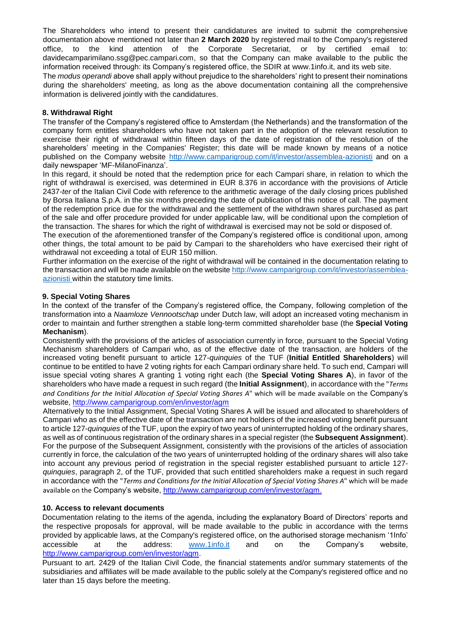The Shareholders who intend to present their candidatures are invited to submit the comprehensive documentation above mentioned not later than **2 March 2020** by registered mail to the Company's registered office, to the kind attention of the Corporate Secretariat, or by certified email to: [davidecamparimilano.ssg@pec.campari.com,](mailto:davidecamparimilano.ssg@pec.campari.com) so that the Company can make available to the public the information received through: its Company's registered office, the SDIR at [www.1info.it,](http://www.1info.it/) and its web site.

The *modus operandi* above shall apply without prejudice to the shareholders' right to present their nominations during the shareholders' meeting, as long as the above documentation containing all the comprehensive information is delivered jointly with the candidatures.

## **8. Withdrawal Right**

The transfer of the Company's registered office to Amsterdam (the Netherlands) and the transformation of the company form entitles shareholders who have not taken part in the adoption of the relevant resolution to exercise their right of withdrawal within fifteen days of the date of registration of the resolution of the shareholders' meeting in the Companies' Register; this date will be made known by means of a notice published on the Company website<http://www.camparigroup.com/it/investor/assemblea-azionisti> and on a daily newspaper 'MF-MilanoFinanza'.

In this regard, it should be noted that the redemption price for each Campari share, in relation to which the right of withdrawal is exercised, was determined in EUR 8.376 in accordance with the provisions of Article 2437-*ter* of the Italian Civil Code with reference to the arithmetic average of the daily closing prices published by Borsa Italiana S.p.A. in the six months preceding the date of publication of this notice of call. The payment of the redemption price due for the withdrawal and the settlement of the withdrawn shares purchased as part of the sale and offer procedure provided for under applicable law, will be conditional upon the completion of the transaction. The shares for which the right of withdrawal is exercised may not be sold or disposed of.

The execution of the aforementioned transfer of the Company's registered office is conditional upon, among other things, the total amount to be paid by Campari to the shareholders who have exercised their right of withdrawal not exceeding a total of EUR 150 million.

Further information on the exercise of the right of withdrawal will be contained in the documentation relating to the transaction and will be made available on the website [http://www.camparigroup.com/it/investor/assemblea](http://www.camparigroup.com/it/investor/assemblea-azionisti)[azionisti](http://www.camparigroup.com/it/investor/assemblea-azionisti) within the statutory time limits.

## **9. Special Voting Shares**

In the context of the transfer of the Company's registered office, the Company, following completion of the transformation into a *Naamloze Vennootschap* under Dutch law, will adopt an increased voting mechanism in order to maintain and further strengthen a stable long-term committed shareholder base (the **Special Voting Mechanism**).

Consistently with the provisions of the articles of association currently in force, pursuant to the Special Voting Mechanism shareholders of Campari who, as of the effective date of the transaction, are holders of the increased voting benefit pursuant to article 127-*quinquies* of the TUF (**Initial Entitled Shareholders**) will continue to be entitled to have 2 voting rights for each Campari ordinary share held. To such end, Campari will issue special voting shares A granting 1 voting right each (the **Special Voting Shares A**), in favor of the shareholders who have made a request in such regard (the **Initial Assignment**), in accordance with the "*Terms and Conditions for the Initial Allocation of Special Voting Shares A*" which will be made available on the Company's website,<http://www.camparigroup.com/en/investor/agm>

Alternatively to the Initial Assignment, Special Voting Shares A will be issued and allocated to shareholders of Campari who as of the effective date of the transaction are not holders of the increased voting benefit pursuant to article 127-*quinquies* of the TUF, upon the expiry of two years of uninterrupted holding of the ordinary shares, as well as of continuous registration of the ordinary shares in a special register (the **Subsequent Assignment**). For the purpose of the Subsequent Assignment, consistently with the provisions of the articles of association currently in force, the calculation of the two years of uninterrupted holding of the ordinary shares will also take into account any previous period of registration in the special register established pursuant to article 127 *quinquies*, paragraph 2, of the TUF, provided that such entitled shareholders make a request in such regard in accordance with the "*Terms and Conditions for the Initial Allocation of Special Voting Shares A*" which will be made available on the Company's website, [http://www.camparigroup.com/en/investor/agm.](http://www.camparigroup.com/en/investor/agm)

## **10. Access to relevant documents**

Documentation relating to the items of the agenda, including the explanatory Board of Directors' reports and the respective proposals for approval, will be made available to the public in accordance with the terms provided by applicable laws, at the Company's registered office, on the authorised storage mechanism '1Info' accessible at the address: [www.1info.it](http://www.1info.it/) and on the Company's website, [http://www.camparigroup.com/en/investor/agm.](http://www.camparigroup.com/en/investor/agm)

Pursuant to art. 2429 of the Italian Civil Code, the financial statements and/or summary statements of the subsidiaries and affiliates will be made available to the public solely at the Company's registered office and no later than 15 days before the meeting.